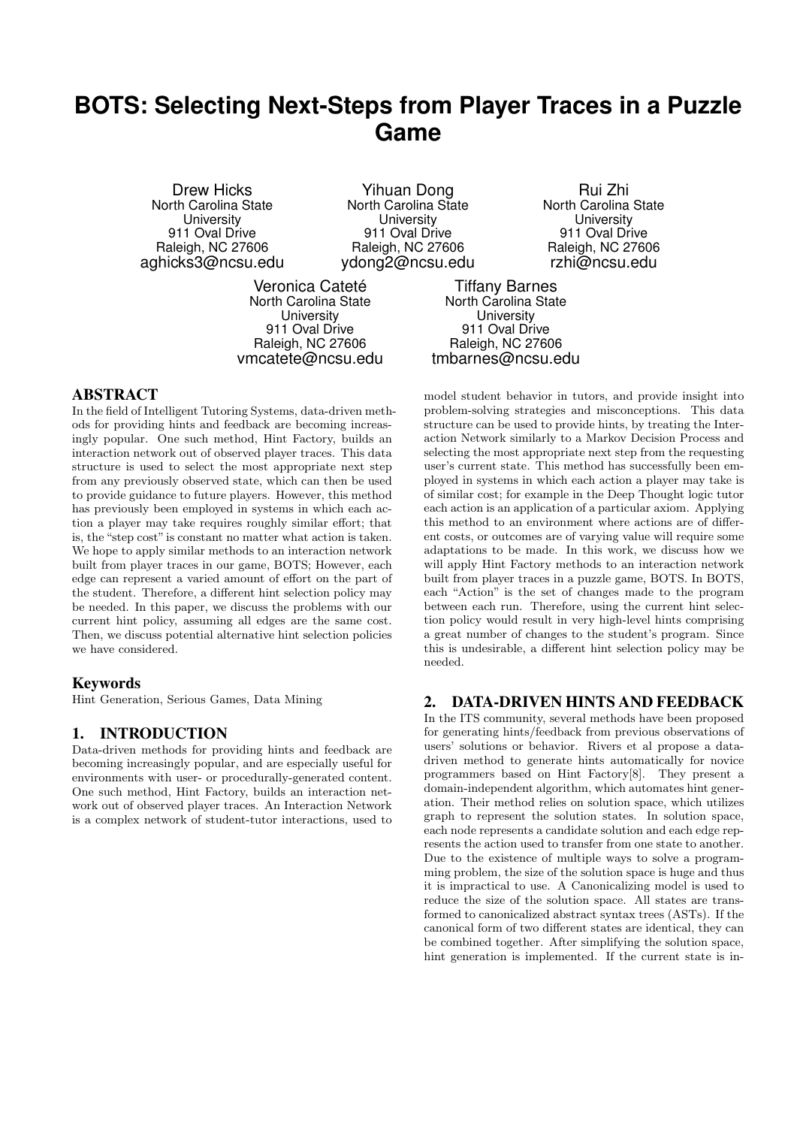# **BOTS: Selecting Next-Steps from Player Traces in a Puzzle Game**

Drew Hicks North Carolina State **University** 911 Oval Drive Raleigh, NC 27606 aghicks3@ncsu.edu

Yihuan Dong North Carolina State **University** 911 Oval Drive Raleigh, NC 27606 ydong2@ncsu.edu

Veronica Cateté North Carolina State **University** 911 Oval Drive Raleigh, NC 27606 vmcatete@ncsu.edu

Rui Zhi North Carolina State **University** 911 Oval Drive Raleigh, NC 27606 rzhi@ncsu.edu

Tiffany Barnes North Carolina State **University** 911 Oval Drive Raleigh, NC 27606 tmbarnes@ncsu.edu

# **ABSTRACT**

In the field of Intelligent Tutoring Systems, data-driven methods for providing hints and feedback are becoming increasingly popular. One such method, Hint Factory, builds an interaction network out of observed player traces. This data structure is used to select the most appropriate next step from any previously observed state, which can then be used to provide guidance to future players. However, this method has previously been employed in systems in which each action a player may take requires roughly similar effort; that is, the "step cost"is constant no matter what action is taken. We hope to apply similar methods to an interaction network built from player traces in our game, BOTS; However, each edge can represent a varied amount of effort on the part of the student. Therefore, a different hint selection policy may be needed. In this paper, we discuss the problems with our current hint policy, assuming all edges are the same cost. Then, we discuss potential alternative hint selection policies we have considered.

# **Keywords**

Hint Generation, Serious Games, Data Mining

# 1. INTRODUCTION

Data-driven methods for providing hints and feedback are becoming increasingly popular, and are especially useful for environments with user- or procedurally-generated content. One such method, Hint Factory, builds an interaction network out of observed player traces. An Interaction Network is a complex network of student-tutor interactions, used to

model student behavior in tutors, and provide insight into problem-solving strategies and misconceptions. This data structure can be used to provide hints, by treating the Interaction Network similarly to a Markov Decision Process and selecting the most appropriate next step from the requesting user's current state. This method has successfully been employed in systems in which each action a player may take is of similar cost; for example in the Deep Thought logic tutor each action is an application of a particular axiom. Applying this method to an environment where actions are of different costs, or outcomes are of varying value will require some adaptations to be made. In this work, we discuss how we will apply Hint Factory methods to an interaction network built from player traces in a puzzle game, BOTS. In BOTS, each "Action" is the set of changes made to the program between each run. Therefore, using the current hint selection policy would result in very high-level hints comprising a great number of changes to the student's program. Since this is undesirable, a different hint selection policy may be needed.

# 2. DATA-DRIVEN HINTS AND FEEDBACK

In the ITS community, several methods have been proposed for generating hints/feedback from previous observations of users' solutions or behavior. Rivers et al propose a datadriven method to generate hints automatically for novice programmers based on Hint Factory[8]. They present a domain-independent algorithm, which automates hint generation. Their method relies on solution space, which utilizes graph to represent the solution states. In solution space, each node represents a candidate solution and each edge represents the action used to transfer from one state to another. Due to the existence of multiple ways to solve a programming problem, the size of the solution space is huge and thus it is impractical to use. A Canonicalizing model is used to reduce the size of the solution space. All states are transformed to canonicalized abstract syntax trees (ASTs). If the canonical form of two different states are identical, they can be combined together. After simplifying the solution space, hint generation is implemented. If the current state is in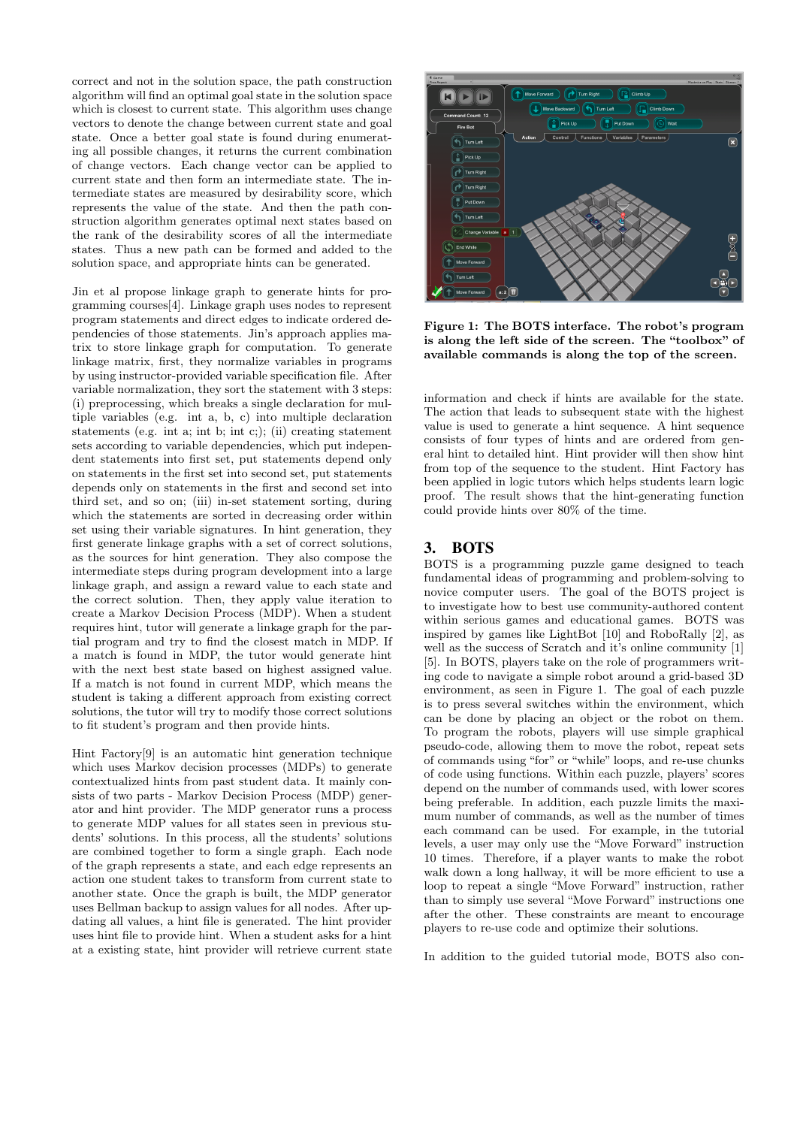correct and not in the solution space, the path construction algorithm will find an optimal goal state in the solution space which is closest to current state. This algorithm uses change vectors to denote the change between current state and goal state. Once a better goal state is found during enumerating all possible changes, it returns the current combination of change vectors. Each change vector can be applied to current state and then form an intermediate state. The intermediate states are measured by desirability score, which represents the value of the state. And then the path construction algorithm generates optimal next states based on the rank of the desirability scores of all the intermediate states. Thus a new path can be formed and added to the solution space, and appropriate hints can be generated.

Jin et al propose linkage graph to generate hints for programming courses[4]. Linkage graph uses nodes to represent program statements and direct edges to indicate ordered dependencies of those statements. Jin's approach applies matrix to store linkage graph for computation. To generate linkage matrix, first, they normalize variables in programs by using instructor-provided variable specification file. After variable normalization, they sort the statement with 3 steps: (i) preprocessing, which breaks a single declaration for multiple variables (e.g. int a, b, c) into multiple declaration statements (e.g. int a; int b; int c;); (ii) creating statement sets according to variable dependencies, which put independent statements into first set, put statements depend only on statements in the first set into second set, put statements depends only on statements in the first and second set into third set, and so on; (iii) in-set statement sorting, during which the statements are sorted in decreasing order within set using their variable signatures. In hint generation, they first generate linkage graphs with a set of correct solutions, as the sources for hint generation. They also compose the intermediate steps during program development into a large linkage graph, and assign a reward value to each state and the correct solution. Then, they apply value iteration to create a Markov Decision Process (MDP). When a student requires hint, tutor will generate a linkage graph for the partial program and try to find the closest match in MDP. If a match is found in MDP, the tutor would generate hint with the next best state based on highest assigned value. If a match is not found in current MDP, which means the student is taking a different approach from existing correct solutions, the tutor will try to modify those correct solutions to fit student's program and then provide hints.

Hint Factory[9] is an automatic hint generation technique which uses Markov decision processes (MDPs) to generate contextualized hints from past student data. It mainly consists of two parts - Markov Decision Process (MDP) generator and hint provider. The MDP generator runs a process to generate MDP values for all states seen in previous students' solutions. In this process, all the students' solutions are combined together to form a single graph. Each node of the graph represents a state, and each edge represents an action one student takes to transform from current state to another state. Once the graph is built, the MDP generator uses Bellman backup to assign values for all nodes. After updating all values, a hint file is generated. The hint provider uses hint file to provide hint. When a student asks for a hint at a existing state, hint provider will retrieve current state



Figure 1: The BOTS interface. The robot's program is along the left side of the screen. The "toolbox" of available commands is along the top of the screen.

information and check if hints are available for the state. The action that leads to subsequent state with the highest value is used to generate a hint sequence. A hint sequence consists of four types of hints and are ordered from general hint to detailed hint. Hint provider will then show hint from top of the sequence to the student. Hint Factory has been applied in logic tutors which helps students learn logic proof. The result shows that the hint-generating function could provide hints over 80% of the time.

# 3. BOTS

BOTS is a programming puzzle game designed to teach fundamental ideas of programming and problem-solving to novice computer users. The goal of the BOTS project is to investigate how to best use community-authored content within serious games and educational games. BOTS was inspired by games like LightBot [10] and RoboRally [2], as well as the success of Scratch and it's online community [1] [5]. In BOTS, players take on the role of programmers writing code to navigate a simple robot around a grid-based 3D environment, as seen in Figure 1. The goal of each puzzle is to press several switches within the environment, which can be done by placing an object or the robot on them. To program the robots, players will use simple graphical pseudo-code, allowing them to move the robot, repeat sets of commands using "for" or "while" loops, and re-use chunks of code using functions. Within each puzzle, players' scores depend on the number of commands used, with lower scores being preferable. In addition, each puzzle limits the maximum number of commands, as well as the number of times each command can be used. For example, in the tutorial levels, a user may only use the "Move Forward" instruction 10 times. Therefore, if a player wants to make the robot walk down a long hallway, it will be more efficient to use a loop to repeat a single "Move Forward" instruction, rather than to simply use several "Move Forward" instructions one after the other. These constraints are meant to encourage players to re-use code and optimize their solutions.

In addition to the guided tutorial mode, BOTS also con-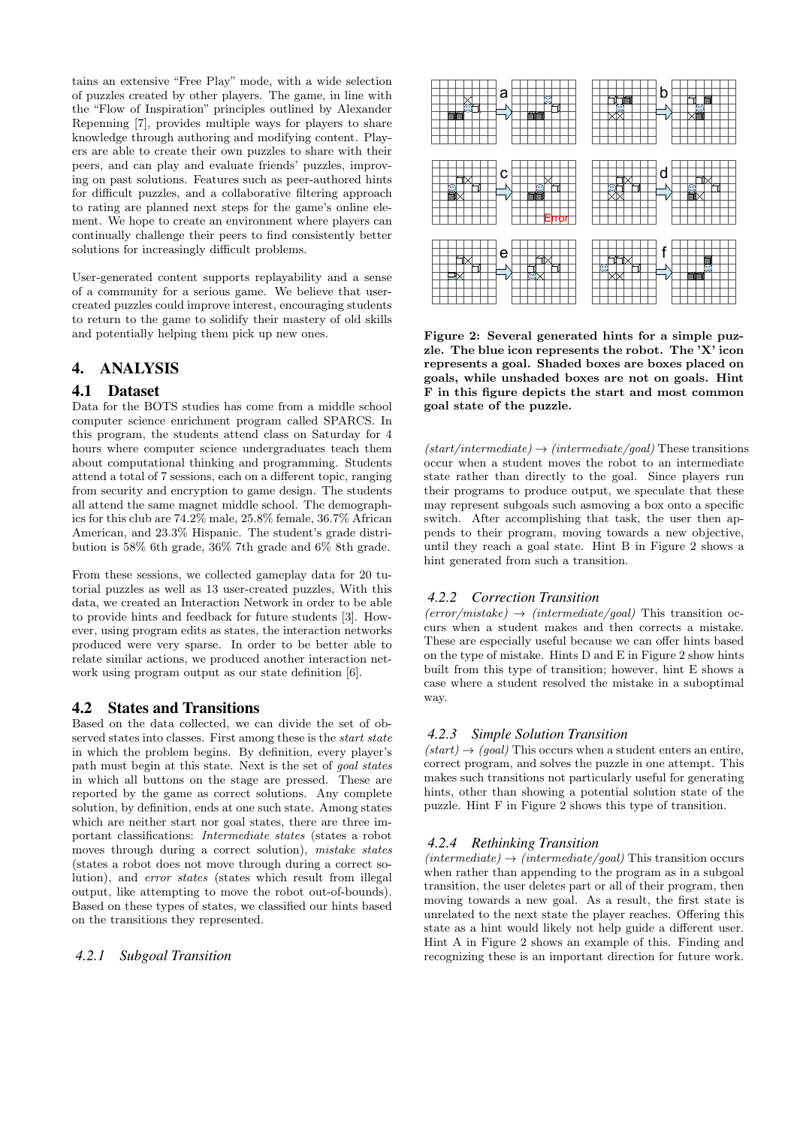tains an extensive "Free Play" mode, with a wide selection of puzzles created by other players. The game, in line with the "Flow of Inspiration" principles outlined by Alexander Repenning [7], provides multiple ways for players to share knowledge through authoring and modifying content. Players are able to create their own puzzles to share with their peers, and can play and evaluate friends' puzzles, improving on past solutions. Features such as peer-authored hints for difficult puzzles, and a collaborative filtering approach to rating are planned next steps for the game's online element. We hope to create an environment where players can continually challenge their peers to find consistently better solutions for increasingly difficult problems.

User-generated content supports replayability and a sense of a community for a serious game. We believe that usercreated puzzles could improve interest, encouraging students to return to the game to solidify their mastery of old skills and potentially helping them pick up new ones.

# 4. ANALYSIS

# 4.1 Dataset

Data for the BOTS studies has come from a middle school computer science enrichment program called SPARCS. In this program, the students attend class on Saturday for 4 hours where computer science undergraduates teach them about computational thinking and programming. Students attend a total of 7 sessions, each on a different topic, ranging from security and encryption to game design. The students all attend the same magnet middle school. The demographics for this club are 74.2% male, 25.8% female, 36.7% African American, and 23.3% Hispanic. The student's grade distribution is 58% 6th grade, 36% 7th grade and 6% 8th grade.

From these sessions, we collected gameplay data for 20 tutorial puzzles as well as 13 user-created puzzles, With this data, we created an Interaction Network in order to be able to provide hints and feedback for future students [3]. However, using program edits as states, the interaction networks produced were very sparse. In order to be better able to relate similar actions, we produced another interaction network using program output as our state definition [6].

# 4.2 States and Transitions

Based on the data collected, we can divide the set of observed states into classes. First among these is the *start state* in which the problem begins. By definition, every player's path must begin at this state. Next is the set of goal states in which all buttons on the stage are pressed. These are reported by the game as correct solutions. Any complete solution, by definition, ends at one such state. Among states which are neither start nor goal states, there are three important classifications: Intermediate states (states a robot moves through during a correct solution), mistake states (states a robot does not move through during a correct solution), and error states (states which result from illegal output, like attempting to move the robot out-of-bounds). Based on these types of states, we classified our hints based on the transitions they represented.

# *4.2.1 Subgoal Transition*



Figure 2: Several generated hints for a simple puzzle. The blue icon represents the robot. The 'X' icon represents a goal. Shaded boxes are boxes placed on goals, while unshaded boxes are not on goals. Hint F in this figure depicts the start and most common goal state of the puzzle.

 $(stat/intermediate) \rightarrow (intermediate/goal)$  These transitions occur when a student moves the robot to an intermediate state rather than directly to the goal. Since players run their programs to produce output, we speculate that these may represent subgoals such asmoving a box onto a specific switch. After accomplishing that task, the user then appends to their program, moving towards a new objective, until they reach a goal state. Hint B in Figure 2 shows a hint generated from such a transition.

#### *4.2.2 Correction Transition*

 $(error/mistake) \rightarrow (intermediate/goal)$  This transition occurs when a student makes and then corrects a mistake. These are especially useful because we can offer hints based on the type of mistake. Hints D and E in Figure 2 show hints built from this type of transition; however, hint E shows a case where a student resolved the mistake in a suboptimal way.

#### *4.2.3 Simple Solution Transition*

 $(stat) \rightarrow (goal)$  This occurs when a student enters an entire, correct program, and solves the puzzle in one attempt. This makes such transitions not particularly useful for generating hints, other than showing a potential solution state of the puzzle. Hint F in Figure 2 shows this type of transition.

#### *4.2.4 Rethinking Transition*

 $(intermediate) \rightarrow (intermediate/goal)$  This transition occurs when rather than appending to the program as in a subgoal transition, the user deletes part or all of their program, then moving towards a new goal. As a result, the first state is unrelated to the next state the player reaches. Offering this state as a hint would likely not help guide a different user. Hint A in Figure 2 shows an example of this. Finding and recognizing these is an important direction for future work.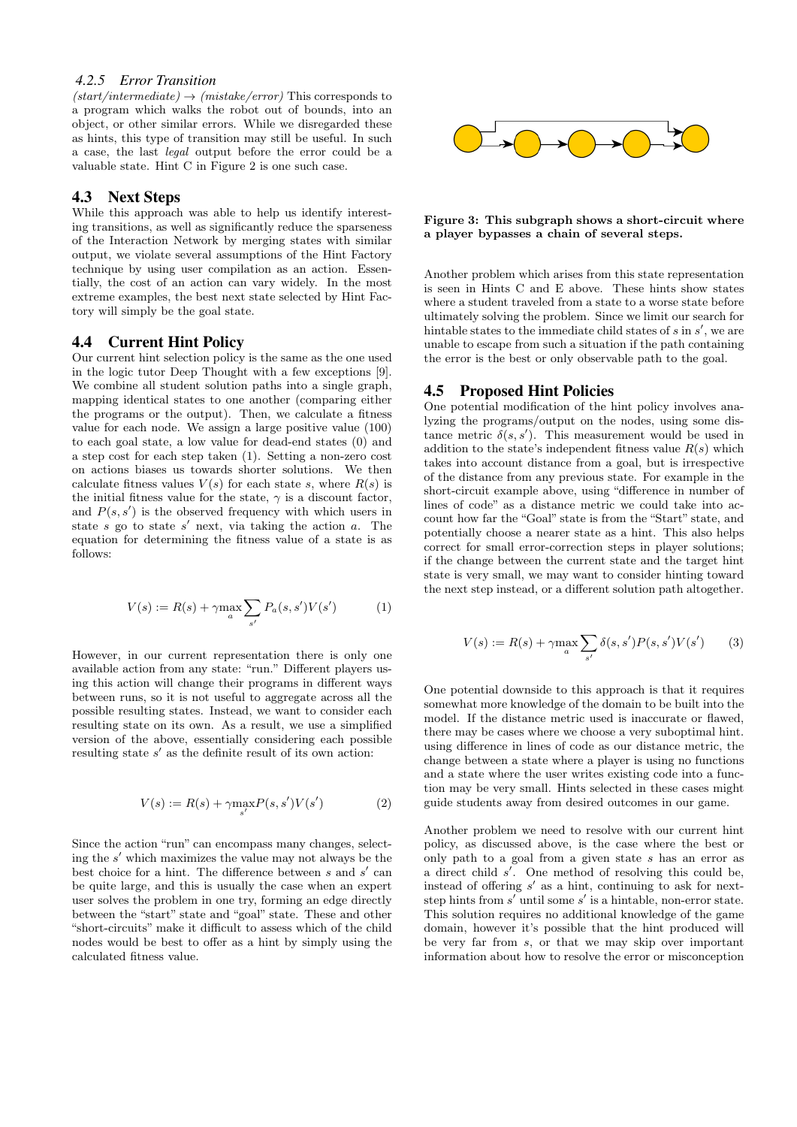# *4.2.5 Error Transition*

 $(stat/intermediate) \rightarrow (mistake/error)$  This corresponds to a program which walks the robot out of bounds, into an object, or other similar errors. While we disregarded these as hints, this type of transition may still be useful. In such a case, the last legal output before the error could be a valuable state. Hint C in Figure 2 is one such case.

# 4.3 Next Steps

While this approach was able to help us identify interesting transitions, as well as significantly reduce the sparseness of the Interaction Network by merging states with similar output, we violate several assumptions of the Hint Factory technique by using user compilation as an action. Essentially, the cost of an action can vary widely. In the most extreme examples, the best next state selected by Hint Factory will simply be the goal state.

# 4.4 Current Hint Policy

Our current hint selection policy is the same as the one used in the logic tutor Deep Thought with a few exceptions [9]. We combine all student solution paths into a single graph, mapping identical states to one another (comparing either the programs or the output). Then, we calculate a fitness value for each node. We assign a large positive value (100) to each goal state, a low value for dead-end states (0) and a step cost for each step taken (1). Setting a non-zero cost on actions biases us towards shorter solutions. We then calculate fitness values  $V(s)$  for each state s, where  $R(s)$  is the initial fitness value for the state,  $\gamma$  is a discount factor, and  $P(s, s')$  is the observed frequency with which users in state  $s$  go to state  $s'$  next, via taking the action  $a$ . The equation for determining the fitness value of a state is as follows:

$$
V(s) := R(s) + \gamma \max_{a} \sum_{s'} P_a(s, s') V(s')
$$
 (1)

However, in our current representation there is only one available action from any state: "run." Different players using this action will change their programs in different ways between runs, so it is not useful to aggregate across all the possible resulting states. Instead, we want to consider each resulting state on its own. As a result, we use a simplified version of the above, essentially considering each possible resulting state  $s'$  as the definite result of its own action:

$$
V(s) := R(s) + \gamma \max_{s'} P(s, s') V(s')
$$
 (2)

Since the action "run" can encompass many changes, selecting the  $s'$  which maximizes the value may not always be the best choice for a hint. The difference between  $s$  and  $s'$  can be quite large, and this is usually the case when an expert user solves the problem in one try, forming an edge directly between the "start" state and "goal" state. These and other "short-circuits" make it difficult to assess which of the child nodes would be best to offer as a hint by simply using the calculated fitness value.



#### Figure 3: This subgraph shows a short-circuit where a player bypasses a chain of several steps.

Another problem which arises from this state representation is seen in Hints C and E above. These hints show states where a student traveled from a state to a worse state before ultimately solving the problem. Since we limit our search for hintable states to the immediate child states of  $s$  in  $s'$ , we are unable to escape from such a situation if the path containing the error is the best or only observable path to the goal.

# 4.5 Proposed Hint Policies

One potential modification of the hint policy involves analyzing the programs/output on the nodes, using some distance metric  $\delta(s, s')$ . This measurement would be used in addition to the state's independent fitness value  $R(s)$  which takes into account distance from a goal, but is irrespective of the distance from any previous state. For example in the short-circuit example above, using "difference in number of lines of code" as a distance metric we could take into account how far the "Goal" state is from the "Start" state, and potentially choose a nearer state as a hint. This also helps correct for small error-correction steps in player solutions; if the change between the current state and the target hint state is very small, we may want to consider hinting toward the next step instead, or a different solution path altogether.

$$
V(s) := R(s) + \gamma \max_{a} \sum_{s'} \delta(s, s') P(s, s') V(s')
$$
 (3)

One potential downside to this approach is that it requires somewhat more knowledge of the domain to be built into the model. If the distance metric used is inaccurate or flawed, there may be cases where we choose a very suboptimal hint. using difference in lines of code as our distance metric, the change between a state where a player is using no functions and a state where the user writes existing code into a function may be very small. Hints selected in these cases might guide students away from desired outcomes in our game.

Another problem we need to resolve with our current hint policy, as discussed above, is the case where the best or only path to a goal from a given state s has an error as a direct child  $s'$ . One method of resolving this could be, instead of offering  $s'$  as a hint, continuing to ask for nextstep hints from  $s'$  until some  $s'$  is a hintable, non-error state. This solution requires no additional knowledge of the game domain, however it's possible that the hint produced will be very far from s, or that we may skip over important information about how to resolve the error or misconception